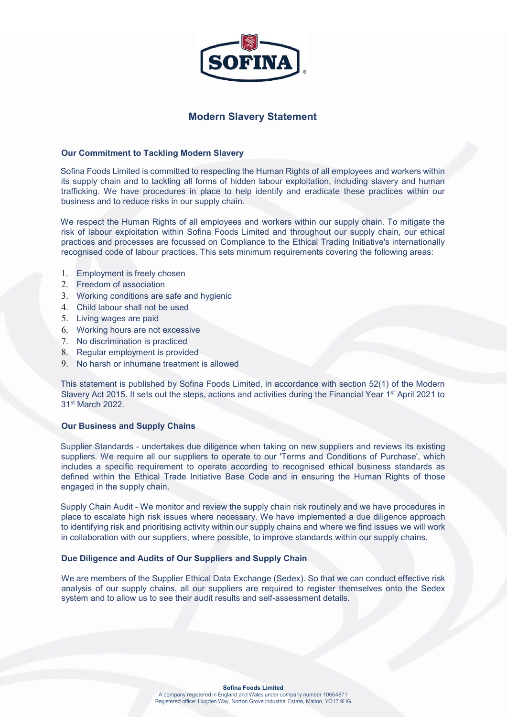

# Modern Slavery Statement

### Our Commitment to Tackling Modern Slavery

Sofina Foods Limited is committed to respecting the Human Rights of all employees and workers within its supply chain and to tackling all forms of hidden labour exploitation, including slavery and human trafficking. We have procedures in place to help identify and eradicate these practices within our business and to reduce risks in our supply chain.

We respect the Human Rights of all employees and workers within our supply chain. To mitigate the risk of labour exploitation within Sofina Foods Limited and throughout our supply chain, our ethical practices and processes are focussed on Compliance to the Ethical Trading Initiative's internationally recognised code of labour practices. This sets minimum requirements covering the following areas:

- 1. Employment is freely chosen
- 2. Freedom of association
- 3. Working conditions are safe and hygienic
- 4. Child labour shall not be used
- 5. Living wages are paid
- 6. Working hours are not excessive
- 7. No discrimination is practiced
- 8. Regular employment is provided
- 9. No harsh or inhumane treatment is allowed

This statement is published by Sofina Foods Limited, in accordance with section 52(1) of the Modern Slavery Act 2015. It sets out the steps, actions and activities during the Financial Year 1<sup>st</sup> April 2021 to 31st March 2022.

# Our Business and Supply Chains

Supplier Standards - undertakes due diligence when taking on new suppliers and reviews its existing suppliers. We require all our suppliers to operate to our 'Terms and Conditions of Purchase', which includes a specific requirement to operate according to recognised ethical business standards as defined within the Ethical Trade Initiative Base Code and in ensuring the Human Rights of those engaged in the supply chain.

Supply Chain Audit - We monitor and review the supply chain risk routinely and we have procedures in place to escalate high risk issues where necessary. We have implemented a due diligence approach to identifying risk and prioritising activity within our supply chains and where we find issues we will work in collaboration with our suppliers, where possible, to improve standards within our supply chains.

#### Due Diligence and Audits of Our Suppliers and Supply Chain

We are members of the Supplier Ethical Data Exchange (Sedex). So that we can conduct effective risk analysis of our supply chains, all our suppliers are required to register themselves onto the Sedex system and to allow us to see their audit results and self-assessment details.

#### Sofina Foods Limited

A company registered in England and Wales under company number 10664871 Registered office: Hugden Way, Norton Grove Industrial Estate, Malton, YO17 9HG